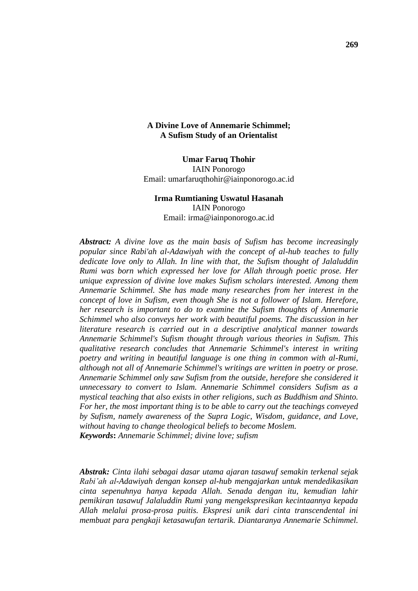## **A Divine Love of Annemarie Schimmel; A Sufism Study of an Orientalist**

**Umar Faruq Thohir** IAIN Ponorogo Email: umarfaruqthohir@iainponorogo.ac.id

# **Irma Rumtianing Uswatul Hasanah** IAIN Ponorogo Email: irma@iainponorogo.ac.id

*Abstract: A divine love as the main basis of Sufism has become increasingly popular since Rabi'ah al-Adawiyah with the concept of al-hub teaches to fully dedicate love only to Allah. In line with that, the Sufism thought of Jalaluddin Rumi was born which expressed her love for Allah through poetic prose. Her unique expression of divine love makes Sufism scholars interested. Among them Annemarie Schimmel. She has made many researches from her interest in the concept of love in Sufism, even though She is not a follower of Islam. Herefore, her research is important to do to examine the Sufism thoughts of Annemarie Schimmel who also conveys her work with beautiful poems. The discussion in her literature research is carried out in a descriptive analytical manner towards Annemarie Schimmel's Sufism thought through various theories in Sufism. This qualitative research concludes that Annemarie Schimmel's interest in writing poetry and writing in beautiful language is one thing in common with al-Rumi, although not all of Annemarie Schimmel's writings are written in poetry or prose. Annemarie Schimmel only saw Sufism from the outside, herefore she considered it unnecessary to convert to Islam. Annemarie Schimmel considers Sufism as a mystical teaching that also exists in other religions, such as Buddhism and Shinto. For her, the most important thing is to be able to carry out the teachings conveyed by Sufism, namely awareness of the Supra Logic, Wisdom, guidance, and Love, without having to change theological beliefs to become Moslem. Keywords***:** *Annemarie Schimmel; divine love; sufism*

*Abstrak: Cinta ilahi sebagai dasar utama ajaran tasawuf semakin terkenal sejak Rabi'ah al-Adawiyah dengan konsep al-hub mengajarkan untuk mendedikasikan cinta sepenuhnya hanya kepada Allah. Senada dengan itu, kemudian lahir pemikiran tasawuf Jalaluddin Rumi yang mengekspresikan kecintaannya kepada Allah melalui prosa-prosa puitis. Ekspresi unik dari cinta transcendental ini membuat para pengkaji ketasawufan tertarik. Diantaranya Annemarie Schimmel.*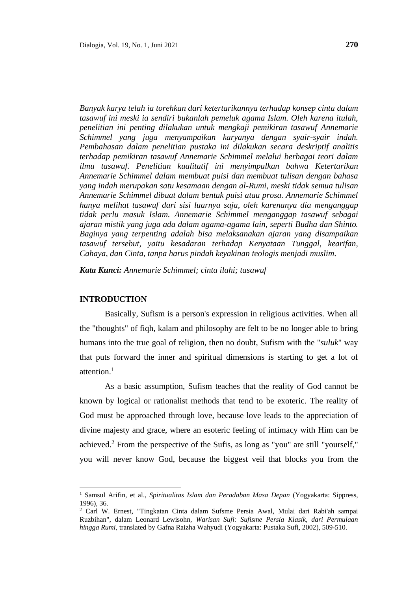*Banyak karya telah ia torehkan dari ketertarikannya terhadap konsep cinta dalam tasawuf ini meski ia sendiri bukanlah pemeluk agama Islam. Oleh karena itulah, penelitian ini penting dilakukan untuk mengkaji pemikiran tasawuf Annemarie Schimmel yang juga menyampaikan karyanya dengan syair-syair indah. Pembahasan dalam penelitian pustaka ini dilakukan secara deskriptif analitis* 

*terhadap pemikiran tasawuf Annemarie Schimmel melalui berbagai teori dalam ilmu tasawuf. Penelitian kualitatif ini menyimpulkan bahwa Ketertarikan Annemarie Schimmel dalam membuat puisi dan membuat tulisan dengan bahasa yang indah merupakan satu kesamaan dengan al-Rumi, meski tidak semua tulisan Annemarie Schimmel dibuat dalam bentuk puisi atau prosa. Annemarie Schimmel hanya melihat tasawuf dari sisi luarnya saja, oleh karenanya dia menganggap tidak perlu masuk Islam. Annemarie Schimmel menganggap tasawuf sebagai ajaran mistik yang juga ada dalam agama-agama lain, seperti Budha dan Shinto. Baginya yang terpenting adalah bisa melaksanakan ajaran yang disampaikan tasawuf tersebut, yaitu kesadaran terhadap Kenyataan Tunggal, kearifan, Cahaya, dan Cinta, tanpa harus pindah keyakinan teologis menjadi muslim.*

*Kata Kunci: Annemarie Schimmel; cinta ilahi; tasawuf*

#### **INTRODUCTION**

Basically, Sufism is a person's expression in religious activities. When all the "thoughts" of fiqh, kalam and philosophy are felt to be no longer able to bring humans into the true goal of religion, then no doubt, Sufism with the "*suluk*" way that puts forward the inner and spiritual dimensions is starting to get a lot of attention. $<sup>1</sup>$ </sup>

As a basic assumption, Sufism teaches that the reality of God cannot be known by logical or rationalist methods that tend to be exoteric. The reality of God must be approached through love, because love leads to the appreciation of divine majesty and grace, where an esoteric feeling of intimacy with Him can be achieved.<sup>2</sup> From the perspective of the Sufis, as long as "you" are still "yourself," you will never know God, because the biggest veil that blocks you from the

<sup>1</sup> Samsul Arifin, et al., *Spiritualitas Islam dan Peradaban Masa Depan* (Yogyakarta: Sippress, 1996), 36.

<sup>2</sup> Carl W. Ernest, "Tingkatan Cinta dalam Sufsme Persia Awal, Mulai dari Rabi'ah sampai Ruzbihan", dalam Leonard Lewisohn, *Warisan Sufi: Sufisme Persia Klasik, dari Permulaan hingga Rumi,* translated by Gafna Raizha Wahyudi (Yogyakarta: Pustaka Sufi, 2002), 509-510.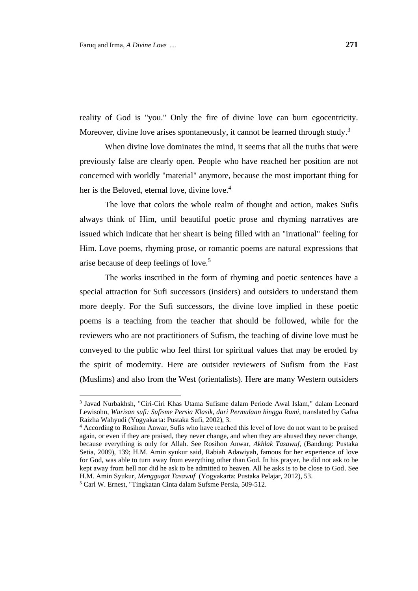reality of God is "you." Only the fire of divine love can burn egocentricity. Moreover, divine love arises spontaneously, it cannot be learned through study.<sup>3</sup>

When divine love dominates the mind, it seems that all the truths that were previously false are clearly open. People who have reached her position are not concerned with worldly "material" anymore, because the most important thing for her is the Beloved, eternal love, divine love.<sup>4</sup>

The love that colors the whole realm of thought and action, makes Sufis always think of Him, until beautiful poetic prose and rhyming narratives are issued which indicate that her sheart is being filled with an "irrational" feeling for Him. Love poems, rhyming prose, or romantic poems are natural expressions that arise because of deep feelings of love.<sup>5</sup>

The works inscribed in the form of rhyming and poetic sentences have a special attraction for Sufi successors (insiders) and outsiders to understand them more deeply. For the Sufi successors, the divine love implied in these poetic poems is a teaching from the teacher that should be followed, while for the reviewers who are not practitioners of Sufism, the teaching of divine love must be conveyed to the public who feel thirst for spiritual values that may be eroded by the spirit of modernity. Here are outsider reviewers of Sufism from the East (Muslims) and also from the West (orientalists). Here are many Western outsiders

<sup>3</sup> Javad Nurbakhsh, "Ciri-Ciri Khas Utama Sufisme dalam Periode Awal Islam," dalam Leonard Lewisohn, *Warisan sufi: Sufisme Persia Klasik, dari Permulaan hingga Rumi,* translated by Gafna Raizha Wahyudi (Yogyakarta: Pustaka Sufi, 2002), 3.

<sup>4</sup> According to Rosihon Anwar, Sufis who have reached this level of love do not want to be praised again, or even if they are praised, they never change, and when they are abused they never change, because everything is only for Allah. See Rosihon Anwar, *Akhlak Tasawuf,* (Bandung: Pustaka Setia, 2009), 139; H.M. Amin syukur said, Rabiah Adawiyah, famous for her experience of love for God, was able to turn away from everything other than God. In his prayer, he did not ask to be kept away from hell nor did he ask to be admitted to heaven. All he asks is to be close to God. See H.M. Amin Syukur, *Menggugat Tasawuf* (Yogyakarta: Pustaka Pelajar, 2012), 53.

<sup>5</sup> Carl W. Ernest, "Tingkatan Cinta dalam Sufsme Persia, 509-512.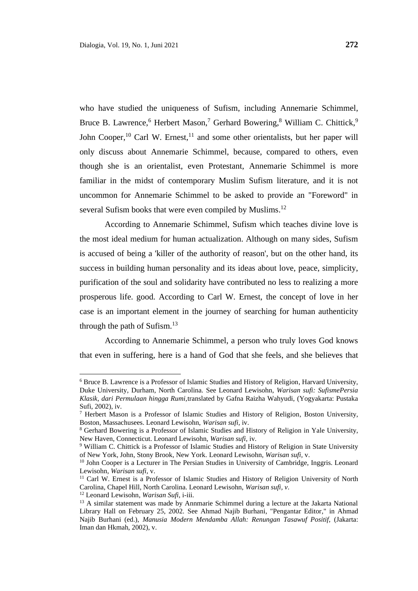who have studied the uniqueness of Sufism, including Annemarie Schimmel, Bruce B. Lawrence,<sup>6</sup> Herbert Mason,<sup>7</sup> Gerhard Bowering,<sup>8</sup> William C. Chittick,<sup>9</sup> John Cooper,<sup>10</sup> Carl W. Ernest,<sup>11</sup> and some other orientalists, but her paper will only discuss about Annemarie Schimmel, because, compared to others, even though she is an orientalist, even Protestant, Annemarie Schimmel is more familiar in the midst of contemporary Muslim Sufism literature, and it is not uncommon for Annemarie Schimmel to be asked to provide an "Foreword" in several Sufism books that were even compiled by Muslims.<sup>12</sup>

According to Annemarie Schimmel, Sufism which teaches divine love is the most ideal medium for human actualization. Although on many sides, Sufism is accused of being a 'killer of the authority of reason', but on the other hand, its success in building human personality and its ideas about love, peace, simplicity, purification of the soul and solidarity have contributed no less to realizing a more prosperous life. good. According to Carl W. Ernest, the concept of love in her case is an important element in the journey of searching for human authenticity through the path of Sufism. 13

According to Annemarie Schimmel, a person who truly loves God knows that even in suffering, here is a hand of God that she feels, and she believes that

<sup>6</sup> Bruce B. Lawrence is a Professor of Islamic Studies and History of Religion, Harvard University, Duke University, Durham, North Carolina. See Leonard Lewisohn, *Warisan sufi: SufismePersia Klasik, dari Permulaan hingga Rumi,*translated by Gafna Raizha Wahyudi, (Yogyakarta: Pustaka Sufi, 2002), iv.

<sup>7</sup> Herbert Mason is a Professor of Islamic Studies and History of Religion, Boston University, Boston, Massachusees. Leonard Lewisohn, *Warisan sufi,* iv.

<sup>8</sup> Gerhard Bowering is a Professor of Islamic Studies and History of Religion in Yale University, New Haven, Connecticut. Leonard Lewisohn, *Warisan sufi,* iv.

<sup>9</sup> William C. Chittick is a Professor of Islamic Studies and History of Religion in State University of New York, John, Stony Brook, New York. Leonard Lewisohn, *Warisan sufi,* v.

<sup>&</sup>lt;sup>10</sup> John Cooper is a Lecturer in The Persian Studies in University of Cambridge, Inggris. Leonard Lewisohn, *Warisan sufi,* v.

<sup>&</sup>lt;sup>11</sup> Carl W. Ernest is a Professor of Islamic Studies and History of Religion University of North Carolina, Chapel Hill, North Carolina. Leonard Lewisohn, *Warisan sufi, v*.

<sup>12</sup> Leonard Lewisohn, *Warisan Sufi*, i-iii.

<sup>&</sup>lt;sup>13</sup> A similar statement was made by Annmarie Schimmel during a lecture at the Jakarta National Library Hall on February 25, 2002. See Ahmad Najib Burhani, "Pengantar Editor," in Ahmad Najib Burhani (ed.), *Manusia Modern Mendamba Allah: Renungan Tasawuf Positif,* (Jakarta: Iman dan Hkmah, 2002), v.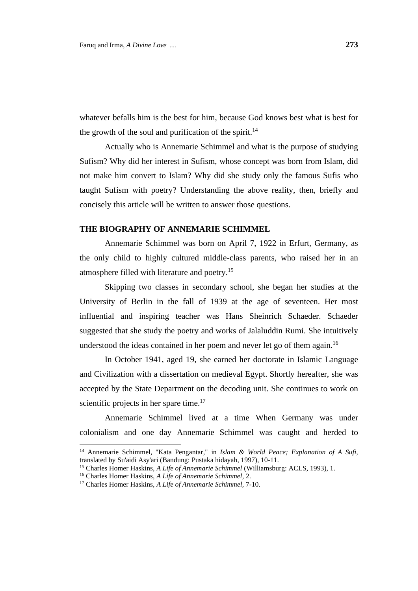whatever befalls him is the best for him, because God knows best what is best for the growth of the soul and purification of the spirit.<sup>14</sup>

Actually who is Annemarie Schimmel and what is the purpose of studying Sufism? Why did her interest in Sufism, whose concept was born from Islam, did not make him convert to Islam? Why did she study only the famous Sufis who taught Sufism with poetry? Understanding the above reality, then, briefly and concisely this article will be written to answer those questions.

# **THE BIOGRAPHY OF ANNEMARIE SCHIMMEL**

Annemarie Schimmel was born on April 7, 1922 in Erfurt, Germany, as the only child to highly cultured middle-class parents, who raised her in an atmosphere filled with literature and poetry.<sup>15</sup>

Skipping two classes in secondary school, she began her studies at the University of Berlin in the fall of 1939 at the age of seventeen. Her most influential and inspiring teacher was Hans Sheinrich Schaeder. Schaeder suggested that she study the poetry and works of Jalaluddin Rumi. She intuitively understood the ideas contained in her poem and never let go of them again.<sup>16</sup>

In October 1941, aged 19, she earned her doctorate in Islamic Language and Civilization with a dissertation on medieval Egypt. Shortly hereafter, she was accepted by the State Department on the decoding unit. She continues to work on scientific projects in her spare time.<sup>17</sup>

Annemarie Schimmel lived at a time When Germany was under colonialism and one day Annemarie Schimmel was caught and herded to

<sup>14</sup> Annemarie Schimmel, "Kata Pengantar," in *Islam & World Peace; Explanation of A Sufi,* translated by Su'aidi Asy'ari (Bandung: Pustaka hidayah, 1997), 10-11.

<sup>&</sup>lt;sup>15</sup> Charles Homer Haskins, *A Life of Annemarie Schimmel* (Williamsburg: ACLS, 1993), 1.

<sup>16</sup> Charles Homer Haskins, *A Life of Annemarie Schimmel,* 2.

<sup>17</sup> Charles Homer Haskins, *A Life of Annemarie Schimmel,* 7-10.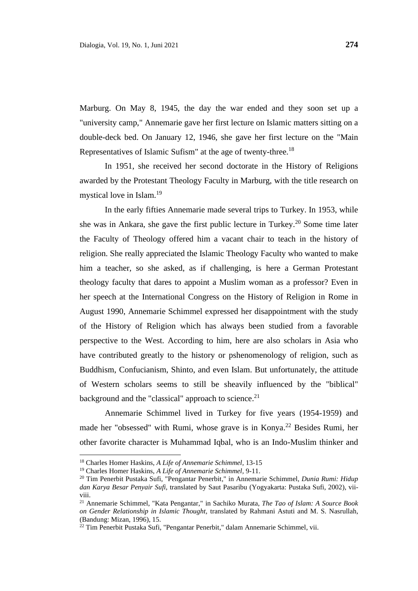Marburg. On May 8, 1945, the day the war ended and they soon set up a "university camp," Annemarie gave her first lecture on Islamic matters sitting on a double-deck bed. On January 12, 1946, she gave her first lecture on the "Main Representatives of Islamic Sufism" at the age of twenty-three.<sup>18</sup>

In 1951, she received her second doctorate in the History of Religions awarded by the Protestant Theology Faculty in Marburg, with the title research on mystical love in Islam.<sup>19</sup>

In the early fifties Annemarie made several trips to Turkey. In 1953, while she was in Ankara, she gave the first public lecture in Turkey. <sup>20</sup> Some time later the Faculty of Theology offered him a vacant chair to teach in the history of religion. She really appreciated the Islamic Theology Faculty who wanted to make him a teacher, so she asked, as if challenging, is here a German Protestant theology faculty that dares to appoint a Muslim woman as a professor? Even in her speech at the International Congress on the History of Religion in Rome in August 1990, Annemarie Schimmel expressed her disappointment with the study of the History of Religion which has always been studied from a favorable perspective to the West. According to him, here are also scholars in Asia who have contributed greatly to the history or pshenomenology of religion, such as Buddhism, Confucianism, Shinto, and even Islam. But unfortunately, the attitude of Western scholars seems to still be sheavily influenced by the "biblical" background and the "classical" approach to science.<sup>21</sup>

Annemarie Schimmel lived in Turkey for five years (1954-1959) and made her "obsessed" with Rumi, whose grave is in Konya. <sup>22</sup> Besides Rumi, her other favorite character is Muhammad Iqbal, who is an Indo-Muslim thinker and

<sup>18</sup> Charles Homer Haskins, *A Life of Annemarie Schimmel,* 13-15

<sup>19</sup> Charles Homer Haskins, *A Life of Annemarie Schimmel,* 9-11.

<sup>20</sup> Tim Penerbit Pustaka Sufi, "Pengantar Penerbit," in Annemarie Schimmel, *Dunia Rumi: Hidup dan Karya Besar Penyair Sufi*, translated by Saut Pasaribu (Yogyakarta: Pustaka Sufi, 2002), viiviii.

<sup>21</sup> Annemarie Schimmel, "Kata Pengantar," in Sachiko Murata, *The Tao of Islam: A Source Book on Gender Relationship in Islamic Thought,* translated by Rahmani Astuti and M. S. Nasrullah, (Bandung: Mizan, 1996), 15.

<sup>&</sup>lt;sup>22</sup> Tim Penerbit Pustaka Sufi, "Pengantar Penerbit," dalam Annemarie Schimmel, vii.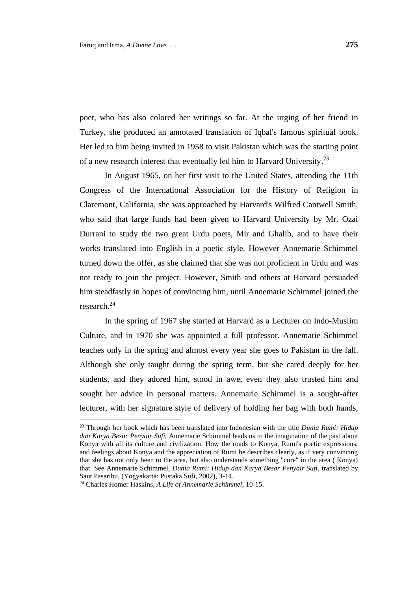poet, who has also colored her writings so far. At the urging of her friend in Turkey, she produced an annotated translation of Iqbal's famous spiritual book. Her led to him being invited in 1958 to visit Pakistan which was the starting point of a new research interest that eventually led him to Harvard University.<sup>23</sup>

In August 1965, on her first visit to the United States, attending the 11th Congress of the International Association for the History of Religion in Claremont, California, she was approached by Harvard's Wilfred Cantwell Smith, who said that large funds had been given to Harvard University by Mr. Ozai Durrani to study the two great Urdu poets, Mir and Ghalib, and to have their works translated into English in a poetic style. However Annemarie Schimmel turned down the offer, as she claimed that she was not proficient in Urdu and was not ready to join the project. However, Smith and others at Harvard persuaded him steadfastly in hopes of convincing him, until Annemarie Schimmel joined the research.<sup>24</sup>

In the spring of 1967 she started at Harvard as a Lecturer on Indo-Muslim Culture, and in 1970 she was appointed a full professor. Annemarie Schimmel teaches only in the spring and almost every year she goes to Pakistan in the fall. Although she only taught during the spring term, but she cared deeply for her students, and they adored him, stood in awe, even they also trusted him and sought her advice in personal matters. Annemarie Schimmel is a sought-after lecturer, with her signature style of delivery of holding her bag with both hands,

<sup>23</sup> Through her book which has been translated into Indonesian with the title *Dunia Rumi: Hidup dan Karya Besar Penyair Sufi,* Annemarie Schimmel leads us to the imagination of the past about Konya with all its culture and civilization. How the roads to Konya, Rumi's poetic expressions, and feelings about Konya and the appreciation of Rumi he describes clearly, as if very convincing that she has not only been to the area, but also understands something "core" in the area ( Konya) that. See Annemarie Schimmel, *Dunia Rumi: Hidup dan Karya Besar Penyair Sufi*, translated by Saut Pasaribu, (Yogyakarta: Pustaka Sufi, 2002), 3-14.

<sup>24</sup> Charles Homer Haskins, *A Life of Annemarie Schimmel,* 10-15.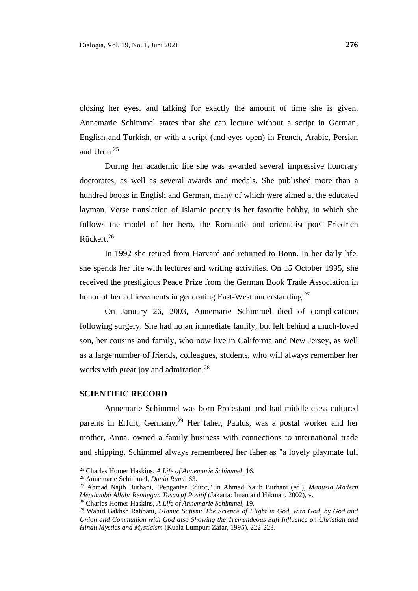closing her eyes, and talking for exactly the amount of time she is given. Annemarie Schimmel states that she can lecture without a script in German, English and Turkish, or with a script (and eyes open) in French, Arabic, Persian and Urdu. 25

During her academic life she was awarded several impressive honorary doctorates, as well as several awards and medals. She published more than a hundred books in English and German, many of which were aimed at the educated layman. Verse translation of Islamic poetry is her favorite hobby, in which she follows the model of her hero, the Romantic and orientalist poet Friedrich Rückert. 26

In 1992 she retired from Harvard and returned to Bonn. In her daily life, she spends her life with lectures and writing activities. On 15 October 1995, she received the prestigious Peace Prize from the German Book Trade Association in honor of her achievements in generating East-West understanding.<sup>27</sup>

On January 26, 2003, Annemarie Schimmel died of complications following surgery. She had no an immediate family, but left behind a much-loved son, her cousins and family, who now live in California and New Jersey, as well as a large number of friends, colleagues, students, who will always remember her works with great joy and admiration.<sup>28</sup>

#### **SCIENTIFIC RECORD**

Annemarie Schimmel was born Protestant and had middle-class cultured parents in Erfurt, Germany.<sup>29</sup> Her faher, Paulus, was a postal worker and her mother, Anna, owned a family business with connections to international trade and shipping. Schimmel always remembered her faher as "a lovely playmate full

<sup>25</sup> Charles Homer Haskins, *A Life of Annemarie Schimmel,* 16.

<sup>26</sup> Annemarie Schimmel, *Dunia Rumi,* 63.

<sup>27</sup> Ahmad Najib Burhani, "Pengantar Editor," in Ahmad Najib Burhani (ed.), *Manusia Modern Mendamba Allah: Renungan Tasawuf Positif* (Jakarta: Iman and Hikmah, 2002), v.

<sup>28</sup> Charles Homer Haskins, *A Life of Annemarie Schimmel,* 19.

<sup>29</sup> Wahid Bakhsh Rabbani, *Islamic Sufism: The Science of Flight in God, with God, by God and Union and Communion with God also Showing the Tremendeous Sufi Influence on Christian and Hindu Mystics and Mysticism* (Kuala Lumpur: Zafar, 1995), 222-223.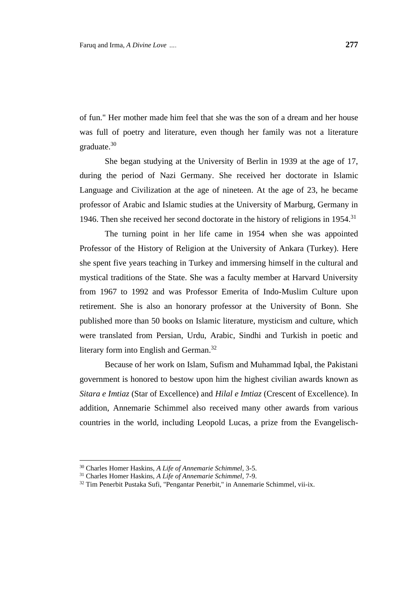of fun." Her mother made him feel that she was the son of a dream and her house was full of poetry and literature, even though her family was not a literature graduate. 30

She began studying at the University of Berlin in 1939 at the age of 17, during the period of Nazi Germany. She received her doctorate in Islamic Language and Civilization at the age of nineteen. At the age of 23, he became professor of Arabic and Islamic studies at the University of Marburg, Germany in 1946. Then she received her second doctorate in the history of religions in 1954.<sup>31</sup>

The turning point in her life came in 1954 when she was appointed Professor of the History of Religion at the University of Ankara (Turkey). Here she spent five years teaching in Turkey and immersing himself in the cultural and mystical traditions of the State. She was a faculty member at Harvard University from 1967 to 1992 and was Professor Emerita of Indo-Muslim Culture upon retirement. She is also an honorary professor at the University of Bonn. She published more than 50 books on Islamic literature, mysticism and culture, which were translated from Persian, Urdu, Arabic, Sindhi and Turkish in poetic and literary form into English and German.<sup>32</sup>

Because of her work on Islam, Sufism and Muhammad Iqbal, the Pakistani government is honored to bestow upon him the highest civilian awards known as *Sitara e Imtiaz* (Star of Excellence) and *Hilal e Imtiaz* (Crescent of Excellence). In addition, Annemarie Schimmel also received many other awards from various countries in the world, including Leopold Lucas, a prize from the Evangelisch-

<sup>30</sup> Charles Homer Haskins, *A Life of Annemarie Schimmel,* 3-5.

<sup>31</sup> Charles Homer Haskins, *A Life of Annemarie Schimmel,* 7-9.

<sup>32</sup> Tim Penerbit Pustaka Sufi, "Pengantar Penerbit," in Annemarie Schimmel, vii-ix.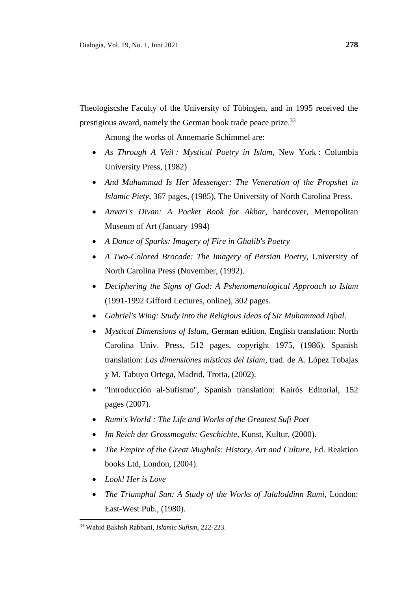Theologiscshe Faculty of the University of Tübingen, and in 1995 received the prestigious award, namely the German book trade peace prize.<sup>33</sup>

Among the works of Annemarie Schimmel are:

- *As Through A Veil : Mystical Poetry in Islam*, New York : Columbia University Press, (1982)
- *And Muhammad Is Her Messenger: The Veneration of the Propshet in Islamic Piety*, 367 pages, (1985), The University of North Carolina Press.
- *Anvari's Divan: A Pocket Book for Akbar*, hardcover, Metropolitan Museum of Art (January 1994)
- *A Dance of Sparks: Imagery of Fire in Ghalib's Poetry*
- *A Two-Colored Brocade: The Imagery of Persian Poetry*, University of North Carolina Press (November, (1992).
- *Deciphering the Signs of God: A Pshenomenological Approach to Islam* (1991-1992 [Gifford Lectures,](http://en.wikipedia.org/wiki/Gifford_Lectures) [online\)](http://www.giffordlectures.org/Browse.asp?PubID=TPDSOG&Cover=TRUE), 302 pages.
- *[Gabriel's Wing:](http://en.wikipedia.org/wiki/Gabriel%27s_Wing) Study into the Religious Ideas of Sir [Muhammad Iqbal](http://en.wikipedia.org/wiki/Muhammad_Iqbal)*.
- *Mystical Dimensions of Islam,* German edition. English translation: North Carolina Univ. Press, 512 pages, copyright 1975, (1986). Spanish translation: *Las dimensiones místicas del Islam*, trad. de A. López Tobajas y M. Tabuyo Ortega, Madrid, Trotta, (2002).
- "Introducción al-Sufismo", Spanish translation: Kairós Editorial, 152 pages (2007).
- *Rumi's World : The Life and Works of the Greatest Sufi Poet*
- *Im Reich der Grossmoguls: Geschichte*, Kunst, Kultur, (2000).
- *The Empire of the Great Mughals: History, Art and Culture*, Ed. Reaktion books Ltd, London, (2004).
- *Look! Her is Love*
- *The Triumphal Sun: A Study of the Works of Jalaloddinn [Rumi](http://en.wikipedia.org/wiki/Rumi)*, London: East-West Pub., (1980).

<sup>33</sup> Wahid Bakhsh Rabbani, *Islamic Sufism,* 222-223.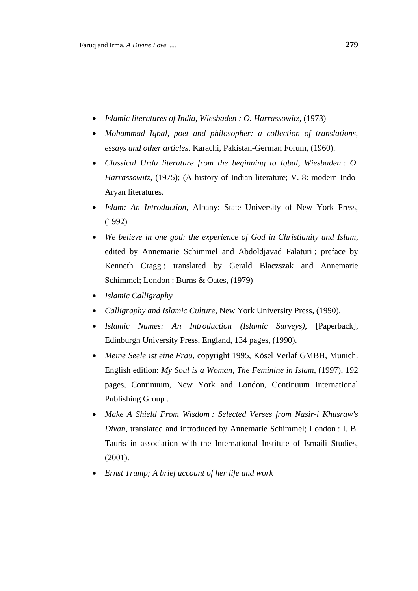- *Islamic literatures of India, Wiesbaden : O. Harrassowitz,* (1973)
- *Mohammad Iqbal, poet and philosopher: a collection of translations, essays and other articles*, Karachi, Pakistan-German Forum, (1960).
- *Classical Urdu literature from the beginning to Iqbal, Wiesbaden : O. Harrassowitz*, (1975); (A history of Indian literature; V. 8: modern Indo-Aryan literatures.
- *Islam: An Introduction*, Albany: State University of New York Press, (1992)
- *We believe in one god: the experience of God in Christianity and Islam*, edited by Annemarie Schimmel and Abdoldjavad Falaturi ; preface by Kenneth Cragg ; translated by Gerald Blaczszak and Annemarie Schimmel; London : Burns & Oates, (1979)
- *Islamic Calligraphy*
- *Calligraphy and Islamic Culture*, New York University Press, (1990).
- *Islamic Names: An Introduction (Islamic Surveys)*, [Paperback], Edinburgh University Press, England, 134 pages, (1990).
- *Meine Seele ist eine Frau*, copyright 1995, Kösel Verlaf GMBH, Munich. English edition: *My Soul is a Woman, The Feminine in Islam*, (1997), 192 pages, Continuum, New York and London, [Continuum International](http://en.wikipedia.org/wiki/Continuum_International_Publishing_Group)  [Publishing Group](http://en.wikipedia.org/wiki/Continuum_International_Publishing_Group) .
- *Make A Shield From Wisdom : Selected Verses from Nasir-i Khusraw's Divan*, translated and introduced by Annemarie Schimmel; London : I. B. Tauris in association with the International Institute of Ismaili Studies, (2001).
- *Ernst Trump; A brief account of her life and work*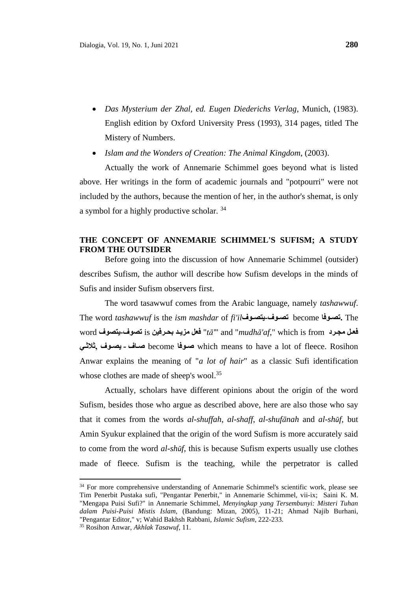- *Das Mysterium der Zhal, ed. Eugen Diederichs Verlag*, Munich, (1983). English edition by Oxford University Press (1993), 314 pages, titled The Mistery of Numbers.
- *Islam and the Wonders of Creation: The Animal Kingdom*, (2003).

Actually the work of Annemarie Schimmel goes beyond what is listed above. Her writings in the form of academic journals and "potpourri" were not included by the authors, because the mention of her, in the author's shemat, is only a symbol for a highly productive scholar. <sup>34</sup>

# **THE CONCEPT OF ANNEMARIE SCHIMMEL'S SUFISM; A STUDY FROM THE OUTSIDER**

Before going into the discussion of how Annemarie Schimmel (outsider) describes Sufism, the author will describe how Sufism develops in the minds of Sufis and insider Sufism observers first.

The word tasawwuf comes from the Arabic language, namely *tashawwuf*. The word *tashawwuf* is the *ism mashdar* of *fi'il* **يتصو- تصو** become **تصو.** The  $\frac{1}{2}$  is بحرفين is بحرفين is تصوف على مزيد بحرفين and "*mudhā'af*," which is from مجرد  **ثالثو, يصو - صو** become **صو** which means to have a lot of fleece. Rosihon Anwar explains the meaning of "*a lot of hair*" as a classic Sufi identification whose clothes are made of sheep's wool.<sup>35</sup>

Actually, scholars have different opinions about the origin of the word Sufism, besides those who argue as described above, here are also those who say that it comes from the words *al-shuffah*, *al-shaff*, *al-shufānah* and *al-shūf*, but Amin Syukur explained that the origin of the word Sufism is more accurately said to come from the word *al-shūf*, this is because Sufism experts usually use clothes made of fleece. Sufism is the teaching, while the perpetrator is called

<sup>&</sup>lt;sup>34</sup> For more comprehensive understanding of Annemarie Schimmel's scientific work, please see Tim Penerbit Pustaka sufi, "Pengantar Penerbit," in Annemarie Schimmel, vii-ix; Saini K. M. "Mengapa Puisi Sufi?" in Annemarie Schimmel, *Menyingkap yang Tersembunyi: Misteri Tuhan dalam Puisi-Puisi Mistis Islam,* (Bandung: Mizan, 2005), 11-21; Ahmad Najib Burhani, "Pengantar Editor," v; Wahid Bakhsh Rabbani, *Islamic Sufism*, 222-233.

<sup>35</sup> Rosihon Anwar, *Akhlak Tasawuf*, 11.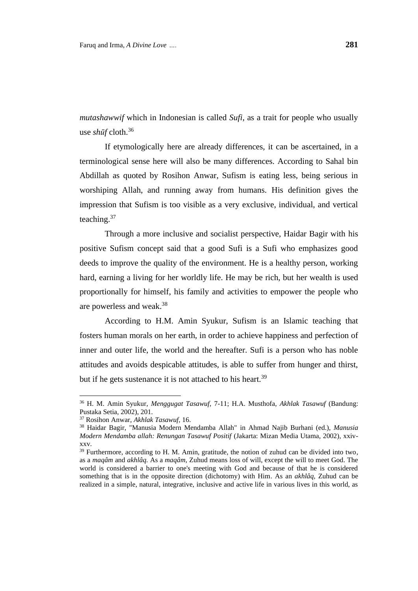*mutashawwif* which in Indonesian is called *Sufi*, as a trait for people who usually use *shūf* cloth.<sup>36</sup>

If etymologically here are already differences, it can be ascertained, in a terminological sense here will also be many differences. According to Sahal bin Abdillah as quoted by Rosihon Anwar, Sufism is eating less, being serious in worshiping Allah, and running away from humans. His definition gives the impression that Sufism is too visible as a very exclusive, individual, and vertical teaching.<sup>37</sup>

Through a more inclusive and socialist perspective, Haidar Bagir with his positive Sufism concept said that a good Sufi is a Sufi who emphasizes good deeds to improve the quality of the environment. He is a healthy person, working hard, earning a living for her worldly life. He may be rich, but her wealth is used proportionally for himself, his family and activities to empower the people who are powerless and weak. 38

According to H.M. Amin Syukur, Sufism is an Islamic teaching that fosters human morals on her earth, in order to achieve happiness and perfection of inner and outer life, the world and the hereafter. Sufi is a person who has noble attitudes and avoids despicable attitudes, is able to suffer from hunger and thirst, but if he gets sustenance it is not attached to his heart.<sup>39</sup>

<sup>36</sup> H. M. Amin Syukur, *Menggugat Tasawuf,* 7-11; H.A. Musthofa, *Akhlak Tasawuf* (Bandung: Pustaka Setia, 2002), 201.

<sup>37</sup> Rosihon Anwar, *Akhlak Tasawuf*, 16.

<sup>38</sup> Haidar Bagir, "Manusia Modern Mendamba Allah" in Ahmad Najib Burhani (ed.), *Manusia Modern Mendamba allah: Renungan Tasawuf Positif* (Jakarta: Mizan Media Utama, 2002), xxivxxv.

<sup>&</sup>lt;sup>39</sup> Furthermore, according to H. M. Amin, gratitude, the notion of zuhud can be divided into two, as a *maqâm* and *akhlâq.* As a *maqâm,* Zuhud means loss of will, except the will to meet God. The world is considered a barrier to one's meeting with God and because of that he is considered something that is in the opposite direction (dichotomy) with Him. As an *akhlâq,* Zuhud can be realized in a simple, natural, integrative, inclusive and active life in various lives in this world, as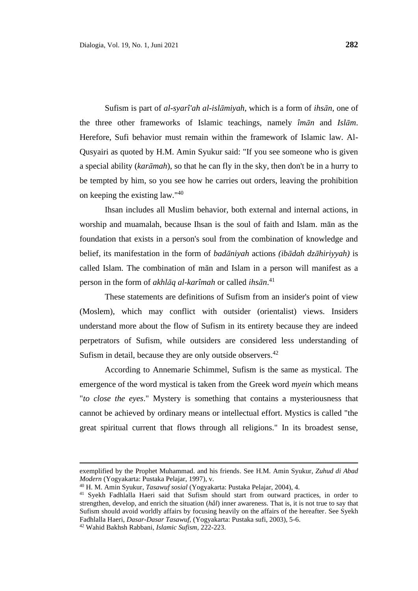Sufism is part of *al-syarî'ah al-islāmiyah*, which is a form of *ihsān*, one of the three other frameworks of Islamic teachings, namely *îmān* and *Islām*. Herefore, Sufi behavior must remain within the framework of Islamic law. Al-Qusyairi as quoted by H.M. Amin Syukur said: "If you see someone who is given a special ability (*karāmah*), so that he can fly in the sky, then don't be in a hurry to be tempted by him, so you see how he carries out orders, leaving the prohibition on keeping the existing law."<sup>40</sup>

Ihsan includes all Muslim behavior, both external and internal actions, in worship and muamalah, because Ihsan is the soul of faith and Islam. mān as the foundation that exists in a person's soul from the combination of knowledge and belief, its manifestation in the form of *badāniyah* actions *(ibādah dzāhiriyyah)* is called Islam. The combination of mān and Islam in a person will manifest as a person in the form of *akhlāq al-karîmah* or called *ihsān*. 41

These statements are definitions of Sufism from an insider's point of view (Moslem), which may conflict with outsider (orientalist) views. Insiders understand more about the flow of Sufism in its entirety because they are indeed perpetrators of Sufism, while outsiders are considered less understanding of Sufism in detail, because they are only outside observers.<sup>42</sup>

According to Annemarie Schimmel, Sufism is the same as mystical. The emergence of the word mystical is taken from the Greek word *myein* which means "*to close the eyes*." Mystery is something that contains a mysteriousness that cannot be achieved by ordinary means or intellectual effort. Mystics is called "the great spiritual current that flows through all religions." In its broadest sense,

exemplified by the Prophet Muhammad. and his friends. See H.M. Amin Syukur, *Zuhud di Abad Modern* (Yogyakarta: Pustaka Pelajar, 1997), v.

<sup>40</sup> H. M. Amin Syukur, *Tasawuf sosial* (Yogyakarta: Pustaka Pelajar, 2004), 4.

<sup>&</sup>lt;sup>41</sup> Syekh Fadhlalla Haeri said that Sufism should start from outward practices, in order to strengthen, develop, and enrich the situation (*hâl*) inner awareness. That is, it is not true to say that Sufism should avoid worldly affairs by focusing heavily on the affairs of the hereafter. See Syekh Fadhlalla Haeri, *Dasar-Dasar Tasawuf,* (Yogyakarta: Pustaka sufi, 2003), 5-6.

<sup>42</sup> Wahid Bakhsh Rabbani, *Islamic Sufism,* 222-223.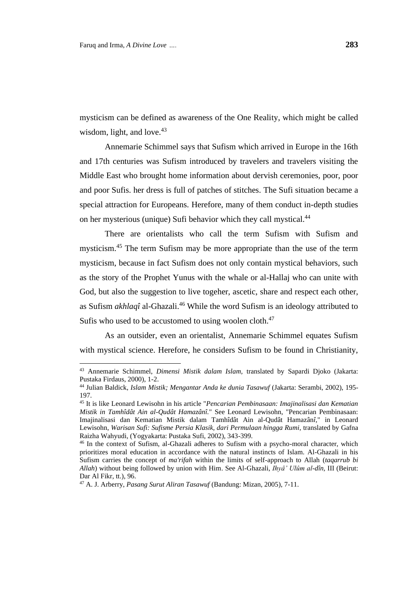mysticism can be defined as awareness of the One Reality, which might be called wisdom, light, and love.<sup>43</sup>

Annemarie Schimmel says that Sufism which arrived in Europe in the 16th and 17th centuries was Sufism introduced by travelers and travelers visiting the Middle East who brought home information about dervish ceremonies, poor, poor and poor Sufis. her dress is full of patches of stitches. The Sufi situation became a special attraction for Europeans. Herefore, many of them conduct in-depth studies on her mysterious (unique) Sufi behavior which they call mystical.<sup>44</sup>

There are orientalists who call the term Sufism with Sufism and mysticism. <sup>45</sup> The term Sufism may be more appropriate than the use of the term mysticism, because in fact Sufism does not only contain mystical behaviors, such as the story of the Prophet Yunus with the whale or al-Hallaj who can unite with God, but also the suggestion to live togeher, ascetic, share and respect each other, as Sufism *akhlaqî* al-Ghazali. <sup>46</sup> While the word Sufism is an ideology attributed to Sufis who used to be accustomed to using woolen cloth.<sup>47</sup>

As an outsider, even an orientalist, Annemarie Schimmel equates Sufism with mystical science. Herefore, he considers Sufism to be found in Christianity,

<sup>43</sup> Annemarie Schimmel, *Dimensi Mistik dalam Islam,* translated by Sapardi Djoko (Jakarta: Pustaka Firdaus, 2000), 1-2.

<sup>44</sup> Julian Baldick, *Islam Mistik; Mengantar Anda ke dunia Tasawuf* (Jakarta: Serambi, 2002), 195- 197.

<sup>45</sup> It is like Leonard Lewisohn in his article "*Pencarian Pembinasaan: Imajinalisasi dan Kematian Mistik in Tamhîdât Ain al-Qudât Hamazânî.*" See Leonard Lewisohn, "Pencarian Pembinasaan: Imajinalisasi dan Kematian Mistik dalam Tamhîdât Ain al-Qudât Hamazân*î,*" in Leonard Lewisohn, *Warisan Sufi: Sufisme Persia Klasik, dari Permulaan hingga Rumi,* translated by Gafna Raizha Wahyudi, (Yogyakarta: Pustaka Sufi, 2002), 343-399.

<sup>46</sup> In the context of Sufism, al-Ghazali adheres to Sufism with a psycho-moral character, which prioritizes moral education in accordance with the natural instincts of Islam. Al-Ghazali in his Sufism carries the concept of *ma'rifah* within the limits of self-approach to Allah (*taqarrub bi Allah*) without being followed by union with Him. See Al-Ghazali, *Ihyâ' Ulûm al-dîn,* III (Beirut: Dar Al Fikr, tt.), 96.

<sup>47</sup> A. J. Arberry, *Pasang Surut Aliran Tasawuf* (Bandung: Mizan, 2005), 7-11.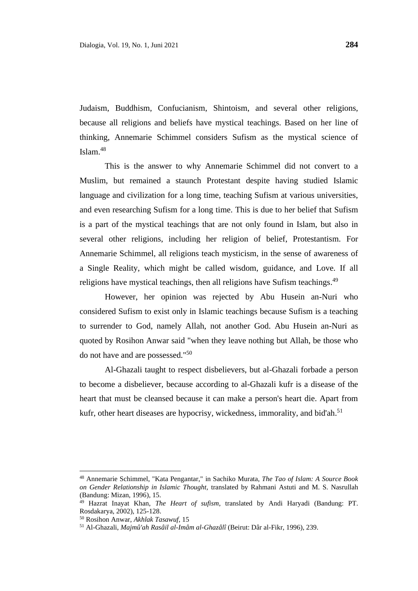Judaism, Buddhism, Confucianism, Shintoism, and several other religions, because all religions and beliefs have mystical teachings. Based on her line of thinking, Annemarie Schimmel considers Sufism as the mystical science of Islam. 48

This is the answer to why Annemarie Schimmel did not convert to a Muslim, but remained a staunch Protestant despite having studied Islamic language and civilization for a long time, teaching Sufism at various universities, and even researching Sufism for a long time. This is due to her belief that Sufism is a part of the mystical teachings that are not only found in Islam, but also in several other religions, including her religion of belief, Protestantism. For Annemarie Schimmel, all religions teach mysticism, in the sense of awareness of a Single Reality, which might be called wisdom, guidance, and Love. If all religions have mystical teachings, then all religions have Sufism teachings.<sup>49</sup>

However, her opinion was rejected by Abu Husein an-Nuri who considered Sufism to exist only in Islamic teachings because Sufism is a teaching to surrender to God, namely Allah, not another God. Abu Husein an-Nuri as quoted by Rosihon Anwar said "when they leave nothing but Allah, be those who do not have and are possessed." 50

Al-Ghazali taught to respect disbelievers, but al-Ghazali forbade a person to become a disbeliever, because according to al-Ghazali kufr is a disease of the heart that must be cleansed because it can make a person's heart die. Apart from kufr, other heart diseases are hypocrisy, wickedness, immorality, and bid'ah.<sup>51</sup>

<sup>48</sup> Annemarie Schimmel, "Kata Pengantar," in Sachiko Murata, *The Tao of Islam: A Source Book on Gender Relationship in Islamic Thought,* translated by Rahmani Astuti and M. S. Nasrullah (Bandung: Mizan, 1996), 15.

<sup>49</sup> Hazrat Inayat Khan, *The Heart of sufism,* translated by Andi Haryadi (Bandung: PT. Rosdakarya, 2002), 125-128.

<sup>50</sup> Rosihon Anwar, *Akhlak Tasawuf,* 15

<sup>51</sup> Al-Ghazali, *Majmû'ah Rasâil al-Imâm al-Ghazâlî* (Beirut: Dâr al-Fikr, 1996), 239.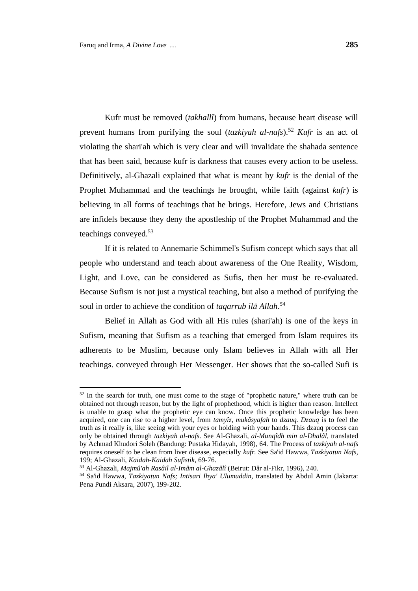Kufr must be removed (*takhallî*) from humans, because heart disease will prevent humans from purifying the soul (*tazkiyah al-nafs*). <sup>52</sup> *Kufr* is an act of violating the shari'ah which is very clear and will invalidate the shahada sentence that has been said, because kufr is darkness that causes every action to be useless. Definitively, al-Ghazali explained that what is meant by *kufr* is the denial of the Prophet Muhammad and the teachings he brought, while faith (against *kufr*) is believing in all forms of teachings that he brings. Herefore, Jews and Christians are infidels because they deny the apostleship of the Prophet Muhammad and the teachings conveyed. 53

If it is related to Annemarie Schimmel's Sufism concept which says that all people who understand and teach about awareness of the One Reality, Wisdom, Light, and Love, can be considered as Sufis, then her must be re-evaluated. Because Sufism is not just a mystical teaching, but also a method of purifying the soul in order to achieve the condition of *taqarrub ilā Allah*. *54*

Belief in Allah as God with all His rules (shari'ah) is one of the keys in Sufism, meaning that Sufism as a teaching that emerged from Islam requires its adherents to be Muslim, because only Islam believes in Allah with all Her teachings. conveyed through Her Messenger. Her shows that the so-called Sufi is

<sup>&</sup>lt;sup>52</sup> In the search for truth, one must come to the stage of "prophetic nature," where truth can be obtained not through reason, but by the light of prophethood, which is higher than reason. Intellect is unable to grasp what the prophetic eye can know. Once this prophetic knowledge has been acquired, one can rise to a higher level, from *tamyîz, mukâsyafah* to *dzauq. Dzauq* is to feel the truth as it really is, like seeing with your eyes or holding with your hands. This dzauq process can only be obtained through *tazkiyah al-nafs*. See Al-Ghazali, *al-Munqîdh min al-Dhalâl,* translated by Achmad Khudori Soleh (Bandung: Pustaka Hidayah, 1998)*,* 64. The Process of *tazkiyah al-nafs*  requires oneself to be clean from liver disease, especially *kufr.* See Sa'id Hawwa, *Tazkiyatun Nafs,*  199; Al-Ghazali, *Kaidah-Kaidah Sufistik,* 69-76.

<sup>53</sup> Al-Ghazali, *Majmû'ah Rasâil al-Imâm al-Ghazâlî* (Beirut: Dâr al-Fikr, 1996), 240.

<sup>54</sup> Sa'id Hawwa, *Tazkiyatun Nafs; Intisari Ihya' Ulumuddin,* translated by Abdul Amin (Jakarta: Pena Pundi Aksara, 2007), 199-202.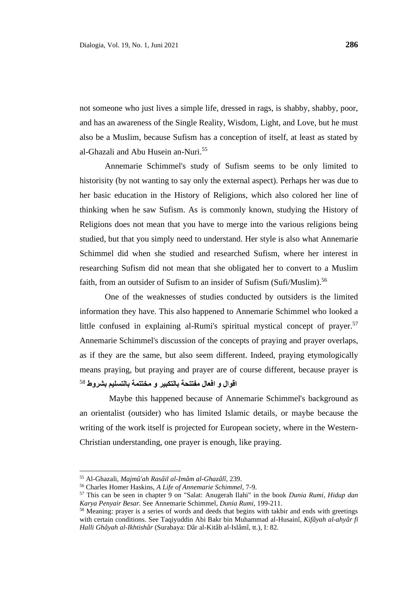not someone who just lives a simple life, dressed in rags, is shabby, shabby, poor, and has an awareness of the Single Reality, Wisdom, Light, and Love, but he must also be a Muslim, because Sufism has a conception of itself, at least as stated by al-Ghazali and Abu Husein an-Nuri. 55

Annemarie Schimmel's study of Sufism seems to be only limited to historisity (by not wanting to say only the external aspect). Perhaps her was due to her basic education in the History of Religions, which also colored her line of thinking when he saw Sufism. As is commonly known, studying the History of Religions does not mean that you have to merge into the various religions being studied, but that you simply need to understand. Her style is also what Annemarie Schimmel did when she studied and researched Sufism, where her interest in researching Sufism did not mean that she obligated her to convert to a Muslim faith, from an outsider of Sufism to an insider of Sufism (Sufi/Muslim).<sup>56</sup>

One of the weaknesses of studies conducted by outsiders is the limited information they have. This also happened to Annemarie Schimmel who looked a little confused in explaining al-Rumi's spiritual mystical concept of prayer.<sup>57</sup> Annemarie Schimmel's discussion of the concepts of praying and prayer overlaps, as if they are the same, but also seem different. Indeed, praying etymologically means praying, but praying and prayer are of course different, because prayer is ا**قوال و افعال مفتتحة بالتكبير و مختتمة بالتسليم بشروط <sup>58</sup>** 

 Maybe this happened because of Annemarie Schimmel's background as an orientalist (outsider) who has limited Islamic details, or maybe because the writing of the work itself is projected for European society, where in the Western-Christian understanding, one prayer is enough, like praying.

<sup>55</sup> Al-Ghazali, *Majmû'ah Rasâil al-Imâm al-Ghazâlî,* 239.

<sup>56</sup> Charles Homer Haskins, *A Life of Annemarie Schimmel*, 7-9.

<sup>57</sup> This can be seen in chapter 9 on "Salat: Anugerah Ilahi" in the book *Dunia Rumi, Hidup dan Karya Penyair Besar.* See Annemarie Schimmel, *Dunia Rumi*, 199-211.

<sup>&</sup>lt;sup>58</sup> Meaning: prayer is a series of words and deeds that begins with takbir and ends with greetings with certain conditions. See Taqiyuddin Abi Bakr bin Muhammad al-Husainî, *Kifâyah al-ahyâr fi Halli Ghâyah al-Ikhtishâr* (Surabaya: Dâr al-Kitâb al-Islâmî, tt.), I: 82.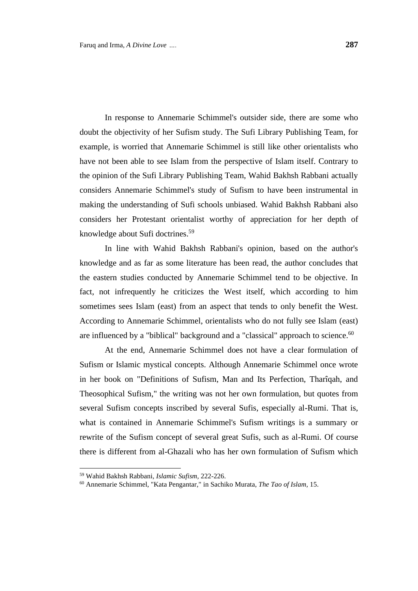In response to Annemarie Schimmel's outsider side, there are some who doubt the objectivity of her Sufism study. The Sufi Library Publishing Team, for example, is worried that Annemarie Schimmel is still like other orientalists who have not been able to see Islam from the perspective of Islam itself. Contrary to the opinion of the Sufi Library Publishing Team, Wahid Bakhsh Rabbani actually considers Annemarie Schimmel's study of Sufism to have been instrumental in making the understanding of Sufi schools unbiased. Wahid Bakhsh Rabbani also considers her Protestant orientalist worthy of appreciation for her depth of knowledge about Sufi doctrines.<sup>59</sup>

In line with Wahid Bakhsh Rabbani's opinion, based on the author's knowledge and as far as some literature has been read, the author concludes that the eastern studies conducted by Annemarie Schimmel tend to be objective. In fact, not infrequently he criticizes the West itself, which according to him sometimes sees Islam (east) from an aspect that tends to only benefit the West. According to Annemarie Schimmel, orientalists who do not fully see Islam (east) are influenced by a "biblical" background and a "classical" approach to science.<sup>60</sup>

At the end, Annemarie Schimmel does not have a clear formulation of Sufism or Islamic mystical concepts. Although Annemarie Schimmel once wrote in her book on "Definitions of Sufism, Man and Its Perfection, Tharîqah, and Theosophical Sufism," the writing was not her own formulation, but quotes from several Sufism concepts inscribed by several Sufis, especially al-Rumi. That is, what is contained in Annemarie Schimmel's Sufism writings is a summary or rewrite of the Sufism concept of several great Sufis, such as al-Rumi. Of course there is different from al-Ghazali who has her own formulation of Sufism which

<sup>59</sup> Wahid Bakhsh Rabbani, *Islamic Sufism,* 222-226.

<sup>60</sup> Annemarie Schimmel, "Kata Pengantar," in Sachiko Murata, *The Tao of Islam,* 15.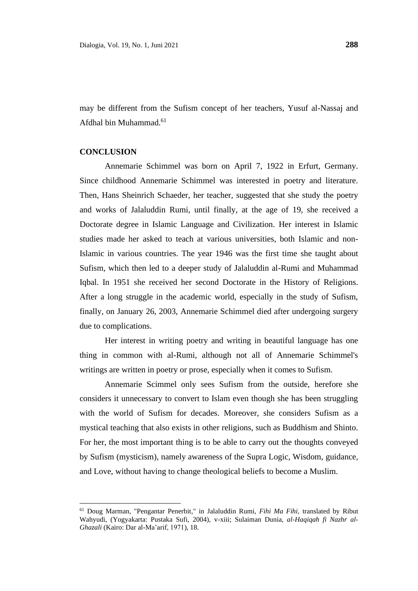may be different from the Sufism concept of her teachers, Yusuf al-Nassaj and Afdhal bin Muhammad.<sup>61</sup>

### **CONCLUSION**

Annemarie Schimmel was born on April 7, 1922 in Erfurt, Germany. Since childhood Annemarie Schimmel was interested in poetry and literature. Then, Hans Sheinrich Schaeder, her teacher, suggested that she study the poetry and works of Jalaluddin Rumi, until finally, at the age of 19, she received a Doctorate degree in Islamic Language and Civilization. Her interest in Islamic studies made her asked to teach at various universities, both Islamic and non-Islamic in various countries. The year 1946 was the first time she taught about Sufism, which then led to a deeper study of Jalaluddin al-Rumi and Muhammad Iqbal. In 1951 she received her second Doctorate in the History of Religions. After a long struggle in the academic world, especially in the study of Sufism, finally, on January 26, 2003, Annemarie Schimmel died after undergoing surgery due to complications.

Her interest in writing poetry and writing in beautiful language has one thing in common with al-Rumi, although not all of Annemarie Schimmel's writings are written in poetry or prose, especially when it comes to Sufism.

Annemarie Scimmel only sees Sufism from the outside, herefore she considers it unnecessary to convert to Islam even though she has been struggling with the world of Sufism for decades. Moreover, she considers Sufism as a mystical teaching that also exists in other religions, such as Buddhism and Shinto. For her, the most important thing is to be able to carry out the thoughts conveyed by Sufism (mysticism), namely awareness of the Supra Logic, Wisdom, guidance, and Love, without having to change theological beliefs to become a Muslim.

<sup>61</sup> Doug Marman, "Pengantar Penerbit," in Jalaluddin Rumi, *Fihi Ma Fihi,* translated by Ribut Wahyudi, (Yogyakarta: Pustaka Sufi, 2004), v-xiii; Sulaiman Dunia, *al-Haqiqah fi Nazhr al-Ghazali* (Kairo: Dar al-Ma'arif, 1971), 18.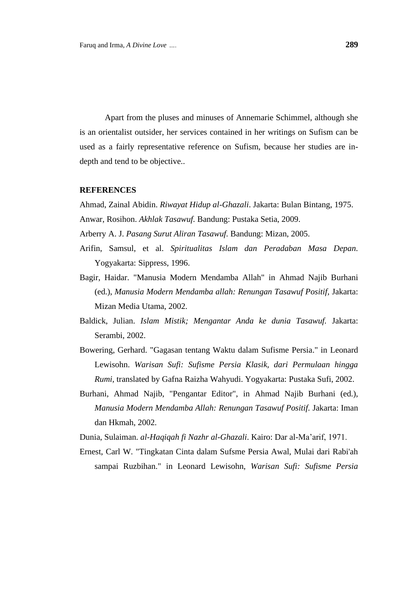Apart from the pluses and minuses of Annemarie Schimmel, although she is an orientalist outsider, her services contained in her writings on Sufism can be used as a fairly representative reference on Sufism, because her studies are indepth and tend to be objective..

#### **REFERENCES**

Ahmad, Zainal Abidin. *Riwayat Hidup al-Ghazali*. Jakarta: Bulan Bintang, 1975. Anwar, Rosihon. *Akhlak Tasawuf.* Bandung: Pustaka Setia, 2009.

- Arberry A. J. *Pasang Surut Aliran Tasawuf.* Bandung: Mizan, 2005.
- Arifin, Samsul, et al. *Spiritualitas Islam dan Peradaban Masa Depan.* Yogyakarta: Sippress, 1996.
- Bagir, Haidar. "Manusia Modern Mendamba Allah" in Ahmad Najib Burhani (ed.), *Manusia Modern Mendamba allah: Renungan Tasawuf Positif,* Jakarta: Mizan Media Utama, 2002.
- Baldick, Julian. *Islam Mistik; Mengantar Anda ke dunia Tasawuf.* Jakarta: Serambi, 2002.
- Bowering, Gerhard. "Gagasan tentang Waktu dalam Sufisme Persia." in Leonard Lewisohn. *Warisan Sufi: Sufisme Persia Klasik, dari Permulaan hingga Rumi,* translated by Gafna Raizha Wahyudi. Yogyakarta: Pustaka Sufi, 2002.
- Burhani, Ahmad Najib, "Pengantar Editor", in Ahmad Najib Burhani (ed.), *Manusia Modern Mendamba Allah: Renungan Tasawuf Positif.* Jakarta: Iman dan Hkmah, 2002.
- Dunia, Sulaiman. *al-Haqiqah fi Nazhr al-Ghazali*. Kairo: Dar al-Ma'arif, 1971.
- Ernest, Carl W. "Tingkatan Cinta dalam Sufsme Persia Awal, Mulai dari Rabi'ah sampai Ruzbihan." in Leonard Lewisohn, *Warisan Sufi: Sufisme Persia*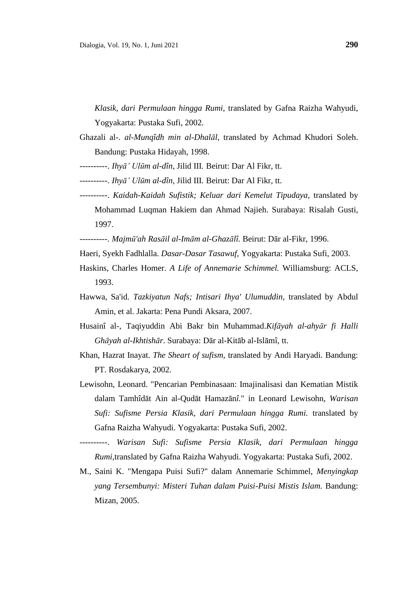*Klasik, dari Permulaan hingga Rumi,* translated by Gafna Raizha Wahyudi, Yogyakarta: Pustaka Sufi, 2002.

- Ghazali al-. *al-Munqîdh min al-Dhalāl,* translated by Achmad Khudori Soleh. Bandung: Pustaka Hidayah, 1998.
- ----------. *Ihyā' Ulūm al-dîn,* Jilid III*.* Beirut: Dar Al Fikr, tt.
- ----------. *Ihyā' Ulūm al-dîn,* Jilid III*.* Beirut: Dar Al Fikr, tt.
- ----------. *Kaidah-Kaidah Sufistik; Keluar dari Kemelut Tipudaya*, translated by Mohammad Luqman Hakiem dan Ahmad Najieh. Surabaya: Risalah Gusti, 1997.
- ----------. *Majmū'ah Rasāil al-Imām al-Ghazālî.* Beirut: Dār al-Fikr, 1996.
- Haeri, Syekh Fadhlalla. *Dasar-Dasar Tasawuf,* Yogyakarta: Pustaka Sufi, 2003.
- Haskins, Charles Homer. *A Life of Annemarie Schimmel.* Williamsburg: ACLS, 1993.
- Hawwa, Sa'id. *Tazkiyatun Nafs; Intisari Ihya' Ulumuddin,* translated by Abdul Amin, et al. Jakarta: Pena Pundi Aksara, 2007.
- Husainî al-, Taqiyuddin Abi Bakr bin Muhammad.*Kifāyah al-ahyār fi Halli Ghāyah al-Ikhtishār*. Surabaya: Dār al-Kitāb al-Islāmî, tt.
- Khan, Hazrat Inayat. *The Sheart of sufism,* translated by Andi Haryadi. Bandung: PT. Rosdakarya, 2002.
- Lewisohn, Leonard. "Pencarian Pembinasaan: Imajinalisasi dan Kematian Mistik dalam Tamhîdāt Ain al-Qudāt Hamazān*î.*" in Leonard Lewisohn, *Warisan Sufi: Sufisme Persia Klasik, dari Permulaan hingga Rumi.* translated by Gafna Raizha Wahyudi. Yogyakarta: Pustaka Sufi, 2002.
- ----------. *Warisan Sufi: Sufisme Persia Klasik, dari Permulaan hingga Rumi,*translated by Gafna Raizha Wahyudi. Yogyakarta: Pustaka Sufi, 2002.
- M., Saini K. "Mengapa Puisi Sufi?" dalam Annemarie Schimmel, *Menyingkap yang Tersembunyi: Misteri Tuhan dalam Puisi-Puisi Mistis Islam.* Bandung: Mizan, 2005.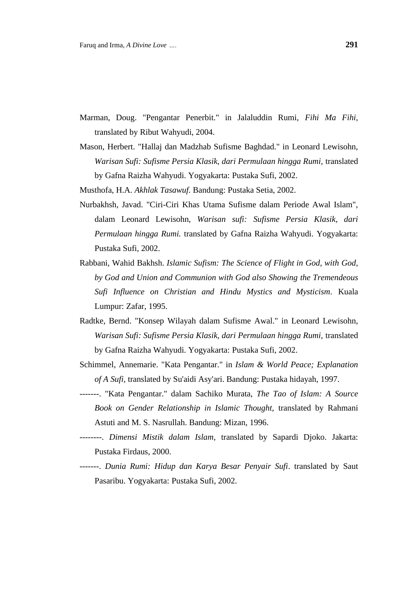- Marman, Doug. "Pengantar Penerbit." in Jalaluddin Rumi, *Fihi Ma Fihi,*  translated by Ribut Wahyudi, 2004.
- Mason, Herbert. "Hallaj dan Madzhab Sufisme Baghdad." in Leonard Lewisohn, *Warisan Sufi: Sufisme Persia Klasik, dari Permulaan hingga Rumi,* translated by Gafna Raizha Wahyudi. Yogyakarta: Pustaka Sufi, 2002.
- Musthofa, H.A. *Akhlak Tasawuf.* Bandung: Pustaka Setia, 2002.
- Nurbakhsh, Javad. "Ciri-Ciri Khas Utama Sufisme dalam Periode Awal Islam", dalam Leonard Lewisohn, *Warisan sufi: Sufisme Persia Klasik, dari Permulaan hingga Rumi.* translated by Gafna Raizha Wahyudi. Yogyakarta: Pustaka Sufi, 2002.
- Rabbani, Wahid Bakhsh. *Islamic Sufism: The Science of Flight in God, with God, by God and Union and Communion with God also Showing the Tremendeous Sufi Influence on Christian and Hindu Mystics and Mysticism.* Kuala Lumpur: Zafar, 1995.
- Radtke, Bernd. "Konsep Wilayah dalam Sufisme Awal." in Leonard Lewisohn, *Warisan Sufi: Sufisme Persia Klasik, dari Permulaan hingga Rumi,* translated by Gafna Raizha Wahyudi. Yogyakarta: Pustaka Sufi, 2002.
- Schimmel, Annemarie. "Kata Pengantar." in *Islam & World Peace; Explanation of A Sufi,* translated by Su'aidi Asy'ari. Bandung: Pustaka hidayah, 1997.
- -------. "Kata Pengantar." dalam Sachiko Murata, *The Tao of Islam: A Source Book on Gender Relationship in Islamic Thought,* translated by Rahmani Astuti and M. S. Nasrullah. Bandung: Mizan, 1996.
- --------. *Dimensi Mistik dalam Islam,* translated by Sapardi Djoko. Jakarta: Pustaka Firdaus, 2000.
- -------. *Dunia Rumi: Hidup dan Karya Besar Penyair Sufi*. translated by Saut Pasaribu. Yogyakarta: Pustaka Sufi, 2002.